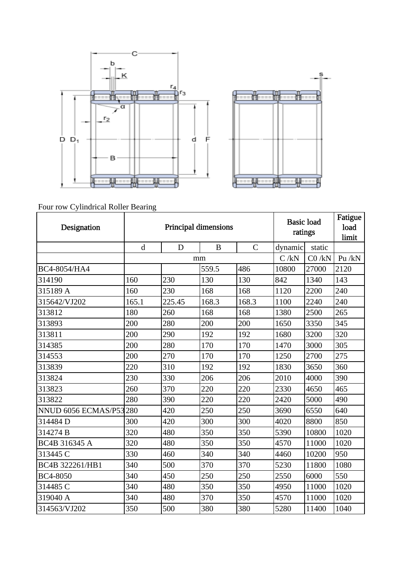



Four row Cylindrical Roller Bearing

| Designation         | Principal dimensions |        |       |              | <b>Basic load</b><br>ratings |          | Fatigue<br>load<br>limit |
|---------------------|----------------------|--------|-------|--------------|------------------------------|----------|--------------------------|
|                     | d                    | D      | B     | $\mathsf{C}$ | dynamic                      | static   |                          |
|                     |                      |        | mm    |              | C / kN                       | $CO$ /kN | Pu/kN                    |
| BC4-8054/HA4        |                      |        | 559.5 | 486          | 10800                        | 27000    | 2120                     |
| 314190              | 160                  | 230    | 130   | 130          | 842                          | 1340     | 143                      |
| 315189 A            | 160                  | 230    | 168   | 168          | 1120                         | 2200     | 240                      |
| 315642/VJ202        | 165.1                | 225.45 | 168.3 | 168.3        | 1100                         | 2240     | 240                      |
| 313812              | 180                  | 260    | 168   | 168          | 1380                         | 2500     | 265                      |
| 313893              | 200                  | 280    | 200   | 200          | 1650                         | 3350     | 345                      |
| 313811              | 200                  | 290    | 192   | 192          | 1680                         | 3200     | 320                      |
| 314385              | 200                  | 280    | 170   | 170          | 1470                         | 3000     | 305                      |
| 314553              | 200                  | 270    | 170   | 170          | 1250                         | 2700     | 275                      |
| 313839              | 220                  | 310    | 192   | 192          | 1830                         | 3650     | 360                      |
| 313824              | 230                  | 330    | 206   | 206          | 2010                         | 4000     | 390                      |
| 313823              | 260                  | 370    | 220   | 220          | 2330                         | 4650     | 465                      |
| 313822              | 280                  | 390    | 220   | 220          | 2420                         | 5000     | 490                      |
| NNUD 6056 ECMAS/P53 | 280                  | 420    | 250   | 250          | 3690                         | 6550     | 640                      |
| 314484D             | 300                  | 420    | 300   | 300          | 4020                         | 8800     | 850                      |
| 314274 B            | 320                  | 480    | 350   | 350          | 5390                         | 10800    | 1020                     |
| BC4B 316345 A       | 320                  | 480    | 350   | 350          | 4570                         | 11000    | 1020                     |
| 313445 C            | 330                  | 460    | 340   | 340          | 4460                         | 10200    | 950                      |
| BC4B 322261/HB1     | 340                  | 500    | 370   | 370          | 5230                         | 11800    | 1080                     |
| <b>BC4-8050</b>     | 340                  | 450    | 250   | 250          | 2550                         | 6000     | 550                      |
| 314485 C            | 340                  | 480    | 350   | 350          | 4950                         | 11000    | 1020                     |
| 319040 A            | 340                  | 480    | 370   | 350          | 4570                         | 11000    | 1020                     |
| 314563/VJ202        | 350                  | 500    | 380   | 380          | 5280                         | 11400    | 1040                     |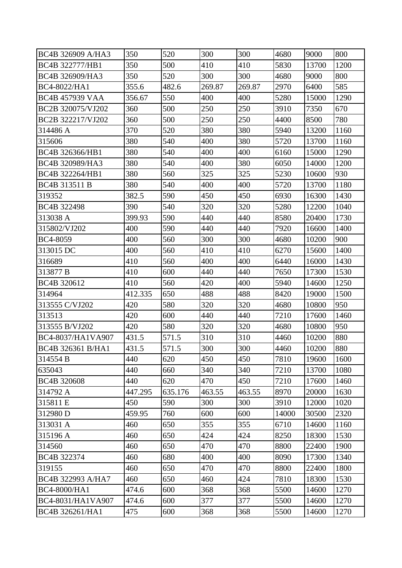| BC4B 326909 A/HA3      | 350     | 520     | 300    | 300    | 4680  | 9000  | 800  |
|------------------------|---------|---------|--------|--------|-------|-------|------|
| BC4B 322777/HB1        | 350     | 500     | 410    | 410    | 5830  | 13700 | 1200 |
| BC4B 326909/HA3        | 350     | 520     | 300    | 300    | 4680  | 9000  | 800  |
| BC4-8022/HA1           | 355.6   | 482.6   | 269.87 | 269.87 | 2970  | 6400  | 585  |
| <b>BC4B 457939 VAA</b> | 356.67  | 550     | 400    | 400    | 5280  | 15000 | 1290 |
| BC2B 320075/VJ202      | 360     | 500     | 250    | 250    | 3910  | 7350  | 670  |
| BC2B 322217/VJ202      | 360     | 500     | 250    | 250    | 4400  | 8500  | 780  |
| 314486 A               | 370     | 520     | 380    | 380    | 5940  | 13200 | 1160 |
| 315606                 | 380     | 540     | 400    | 380    | 5720  | 13700 | 1160 |
| BC4B 326366/HB1        | 380     | 540     | 400    | 400    | 6160  | 15000 | 1290 |
| BC4B 320989/HA3        | 380     | 540     | 400    | 380    | 6050  | 14000 | 1200 |
| BC4B 322264/HB1        | 380     | 560     | 325    | 325    | 5230  | 10600 | 930  |
| BC4B 313511 B          | 380     | 540     | 400    | 400    | 5720  | 13700 | 1180 |
| 319352                 | 382.5   | 590     | 450    | 450    | 6930  | 16300 | 1430 |
| BC4B 322498            | 390     | 540     | 320    | 320    | 5280  | 12200 | 1040 |
| 313038 A               | 399.93  | 590     | 440    | 440    | 8580  | 20400 | 1730 |
| 315802/VJ202           | 400     | 590     | 440    | 440    | 7920  | 16600 | 1400 |
| <b>BC4-8059</b>        | 400     | 560     | 300    | 300    | 4680  | 10200 | 900  |
| 313015 DC              | 400     | 560     | 410    | 410    | 6270  | 15600 | 1400 |
| 316689                 | 410     | 560     | 400    | 400    | 6440  | 16000 | 1430 |
| 313877 B               | 410     | 600     | 440    | 440    | 7650  | 17300 | 1530 |
| BC4B 320612            | 410     | 560     | 420    | 400    | 5940  | 14600 | 1250 |
| 314964                 | 412.335 | 650     | 488    | 488    | 8420  | 19000 | 1500 |
| 313555 C/VJ202         | 420     | 580     | 320    | 320    | 4680  | 10800 | 950  |
| 313513                 | 420     | 600     | 440    | 440    | 7210  | 17600 | 1460 |
| 313555 B/VJ202         | 420     | 580     | 320    | 320    | 4680  | 10800 | 950  |
| BC4-8037/HA1VA907      | 431.5   | 571.5   | 310    | 310    | 4460  | 10200 | 880  |
| BC4B 326361 B/HA1      | 431.5   | 571.5   | 300    | 300    | 4460  | 10200 | 880  |
| 314554 B               | 440     | 620     | 450    | 450    | 7810  | 19600 | 1600 |
| 635043                 | 440     | 660     | 340    | 340    | 7210  | 13700 | 1080 |
| BC4B 320608            | 440     | 620     | 470    | 450    | 7210  | 17600 | 1460 |
| 314792 A               | 447.295 | 635.176 | 463.55 | 463.55 | 8970  | 20000 | 1630 |
| 315811 E               | 450     | 590     | 300    | 300    | 3910  | 12000 | 1020 |
| 312980 D               | 459.95  | 760     | 600    | 600    | 14000 | 30500 | 2320 |
| 313031 A               | 460     | 650     | 355    | 355    | 6710  | 14600 | 1160 |
| 315196 A               | 460     | 650     | 424    | 424    | 8250  | 18300 | 1530 |
| 314560                 | 460     | 650     | 470    | 470    | 8800  | 22400 | 1900 |
| BC4B 322374            | 460     | 680     | 400    | 400    | 8090  | 17300 | 1340 |
| 319155                 | 460     | 650     | 470    | 470    | 8800  | 22400 | 1800 |
| BC4B 322993 A/HA7      | 460     | 650     | 460    | 424    | 7810  | 18300 | 1530 |
| BC4-8000/HA1           | 474.6   | 600     | 368    | 368    | 5500  | 14600 | 1270 |
| BC4-8031/HA1VA907      | 474.6   | 600     | 377    | 377    | 5500  | 14600 | 1270 |
| BC4B 326261/HA1        | 475     | 600     | 368    | 368    | 5500  | 14600 | 1270 |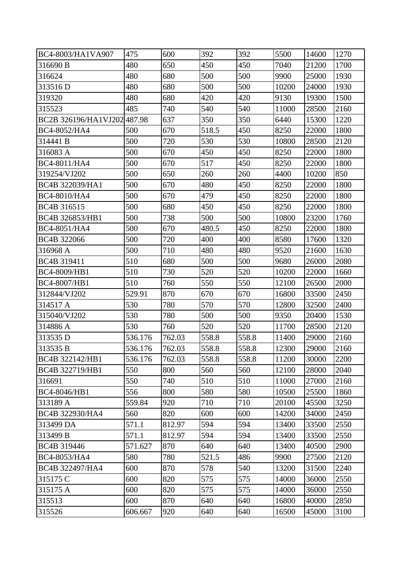| BC4-8003/HA1VA907           | 475     | 600    | 392   | 392   | 5500  | 14600 | 1270 |
|-----------------------------|---------|--------|-------|-------|-------|-------|------|
| 316690 B                    | 480     | 650    | 450   | 450   | 7040  | 21200 | 1700 |
| 316624                      | 480     | 680    | 500   | 500   | 9900  | 25000 | 1930 |
| 313516D                     | 480     | 680    | 500   | 500   | 10200 | 24000 | 1930 |
| 319320                      | 480     | 680    | 420   | 420   | 9130  | 19300 | 1500 |
| 315523                      | 485     | 740    | 540   | 540   | 11000 | 28500 | 2160 |
| BC2B 326196/HA1VJ202 487.98 |         | 637    | 350   | 350   | 6440  | 15300 | 1220 |
| BC4-8052/HA4                | 500     | 670    | 518.5 | 450   | 8250  | 22000 | 1800 |
| 314441 B                    | 500     | 720    | 530   | 530   | 10800 | 28500 | 2120 |
| 316083 A                    | 500     | 670    | 450   | 450   | 8250  | 22000 | 1800 |
| BC4-8011/HA4                | 500     | 670    | 517   | 450   | 8250  | 22000 | 1800 |
| 319254/VJ202                | 500     | 650    | 260   | 260   | 4400  | 10200 | 850  |
| BC4B 322039/HA1             | 500     | 670    | 480   | 450   | 8250  | 22000 | 1800 |
| BC4-8010/HA4                | 500     | 670    | 479   | 450   | 8250  | 22000 | 1800 |
| BC4B 316515                 | 500     | 680    | 450   | 450   | 8250  | 22000 | 1800 |
| BC4B 326853/HB1             | 500     | 738    | 500   | 500   | 10800 | 23200 | 1760 |
| BC4-8051/HA4                | 500     | 670    | 480.5 | 450   | 8250  | 22000 | 1800 |
| <b>BC4B 322066</b>          | 500     | 720    | 400   | 400   | 8580  | 17600 | 1320 |
| 316968 A                    | 500     | 710    | 480   | 480   | 9520  | 21600 | 1630 |
| BC4B 319411                 | 510     | 680    | 500   | 500   | 9680  | 26000 | 2080 |
| BC4-8009/HB1                | 510     | 730    | 520   | 520   | 10200 | 22000 | 1660 |
| <b>BC4-8007/HB1</b>         | 510     | 760    | 550   | 550   | 12100 | 26500 | 2000 |
| 312844/VJ202                | 529.91  | 870    | 670   | 670   | 16800 | 33500 | 2450 |
| 314517 A                    | 530     | 780    | 570   | 570   | 12800 | 32500 | 2400 |
| 315040/VJ202                | 530     | 780    | 500   | 500   | 9350  | 20400 | 1530 |
| 314886 A                    | 530     | 760    | 520   | 520   | 11700 | 28500 | 2120 |
| 313535 D                    | 536.176 | 762.03 | 558.8 | 558.8 | 11400 | 29000 | 2160 |
| 313535 B                    | 536.176 | 762.03 | 558.8 | 558.8 | 12300 | 29000 | 2160 |
| BC4B 322142/HB1             | 536.176 | 762.03 | 558.8 | 558.8 | 11200 | 30000 | 2200 |
| BC4B 322719/HB1             | 550     | 800    | 560   | 560   | 12100 | 28000 | 2040 |
| 316691                      | 550     | 740    | 510   | 510   | 11000 | 27000 | 2160 |
| <b>BC4-8046/HB1</b>         | 556     | 800    | 580   | 580   | 10500 | 25500 | 1860 |
| 313189 A                    | 559.84  | 920    | 710   | 710   | 20100 | 45500 | 3250 |
| BC4B 322930/HA4             | 560     | 820    | 600   | 600   | 14200 | 34000 | 2450 |
| 313499 DA                   | 571.1   | 812.97 | 594   | 594   | 13400 | 33500 | 2550 |
| 313499 B                    | 571.1   | 812.97 | 594   | 594   | 13400 | 33500 | 2550 |
| BC4B 319446                 | 571.627 | 870    | 640   | 640   | 13400 | 40500 | 2900 |
| BC4-8053/HA4                | 580     | 780    | 521.5 | 486   | 9900  | 27500 | 2120 |
| BC4B 322497/HA4             | 600     | 870    | 578   | 540   | 13200 | 31500 | 2240 |
| 315175 C                    | 600     | 820    | 575   | 575   | 14000 | 36000 | 2550 |
| 315175 A                    | 600     | 820    | 575   | 575   | 14000 | 36000 | 2550 |
| 315513                      | 600     | 870    | 640   | 640   | 16800 | 40000 | 2850 |
| 315526                      | 606.667 | 920    | 640   | 640   | 16500 | 45000 | 3100 |